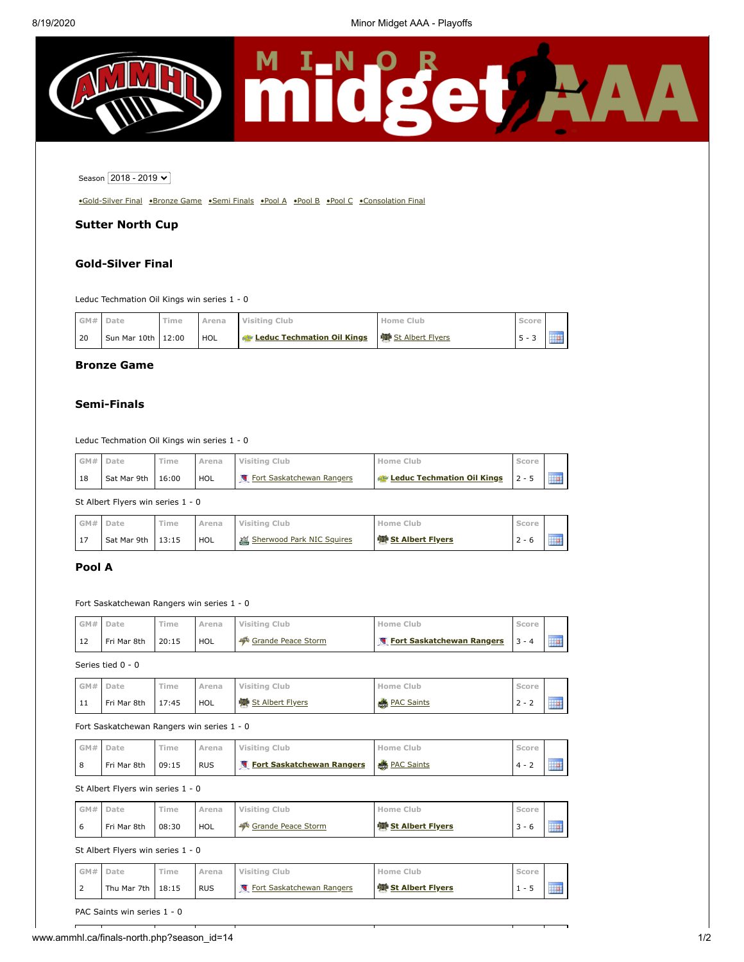

# Season 2018 - 2019 V

[•Gold-Silver Final](#page-0-0) [•Bronze Game](#page-0-1) [•Semi Finals](#page-0-2) [•Pool A](#page-0-3) [•Pool B](#page-1-0) [•Pool C](#page-1-1) [•Consolation Final](#page-1-2)

# **Sutter North Cup**

# <span id="page-0-0"></span>**Gold-Silver Final**

Leduc Techmation Oil Kings win series 1 - 0

|      | GM# Date           | Time | Arena      | Visiting Club                                             | Home Club | Score   |  |
|------|--------------------|------|------------|-----------------------------------------------------------|-----------|---------|--|
| l 20 | Sun Mar 10th 12:00 |      | <b>HOL</b> | Leduc Techmation Oil Kings <sup>99</sup> St Albert Flyers |           | $5 - 3$ |  |

### <span id="page-0-1"></span>**Bronze Game**

## <span id="page-0-2"></span>**Semi-Finals**

Leduc Techmation Oil Kings win series 1 - 0

| GM# | Date        | Time  | Arena | Visiting Club             | Home Club                                   | Score    |  |
|-----|-------------|-------|-------|---------------------------|---------------------------------------------|----------|--|
| 18  | Sat Mar 9th | 16:00 | HOL   | Fort Saskatchewan Rangers | <b>Example 2 Leduc Techmation Oil Kings</b> | $12 - 5$ |  |

St Albert Flyers win series 1 - 0

| GM# | Date                | Time | Arena | Visiting Club             | Home Club                 | Score   |  |
|-----|---------------------|------|-------|---------------------------|---------------------------|---------|--|
| 17  | Sat Mar 9th $13:15$ |      | HOL   | Sherwood Park NIC Squires | <b>楼 St Albert Flyers</b> | $2 - 6$ |  |

# <span id="page-0-3"></span>**Pool A**

#### Fort Saskatchewan Rangers win series 1 - 0

| GM# | Date        | Time  | Arena | Visiting Club      | <b>Home Club</b>          | coreے    |  |
|-----|-------------|-------|-------|--------------------|---------------------------|----------|--|
| 12  | Fri Mar 8th | 20:15 | HOL   | Grande Peace Storm | Fort Saskatchewan Rangers | $13 - 4$ |  |

Series tied 0 - 0

| GM#  | Date        | Time  | Arena | Visiting Club             | Home Club          | . Score    |             |
|------|-------------|-------|-------|---------------------------|--------------------|------------|-------------|
| ' 11 | Fri Mar 8th | 17:45 | HOL   | <b>®</b> St Albert Flyers | <b>BEAC Saints</b> | -<br>$2 -$ | 11111111111 |

#### Fort Saskatchewan Rangers win series 1 - 0

| GM# Date |             | Time  | Arena      | Visiting Club                          | Home Club | Score |  |
|----------|-------------|-------|------------|----------------------------------------|-----------|-------|--|
|          | Fri Mar 8th | 09:15 | <b>RUS</b> | Fort Saskatchewan Rangers & PAC Saints |           |       |  |

St Albert Flyers win series 1 - 0

|             | GM# | Date        | Time  | Arena      | Visiting Club      | Home Club               | Score   |         |
|-------------|-----|-------------|-------|------------|--------------------|-------------------------|---------|---------|
| $\mathbf b$ |     | Fri Mar 8th | 08:30 | <b>HOL</b> | Grande Peace Storm | <b>St Albert Flyers</b> | $3 - 6$ | <b></b> |

St Albert Flyers win series 1 - 0

| GM#             | Date                | Time | Arena      | Visiting Club             | Home Club                 |  |
|-----------------|---------------------|------|------------|---------------------------|---------------------------|--|
| $\sqrt{2}$<br>∠ | Thu Mar 7th $18:15$ |      | <b>RUS</b> | Fort Saskatchewan Rangers | <b>變 St Albert Flyers</b> |  |

PAC Saints win series 1 - 0